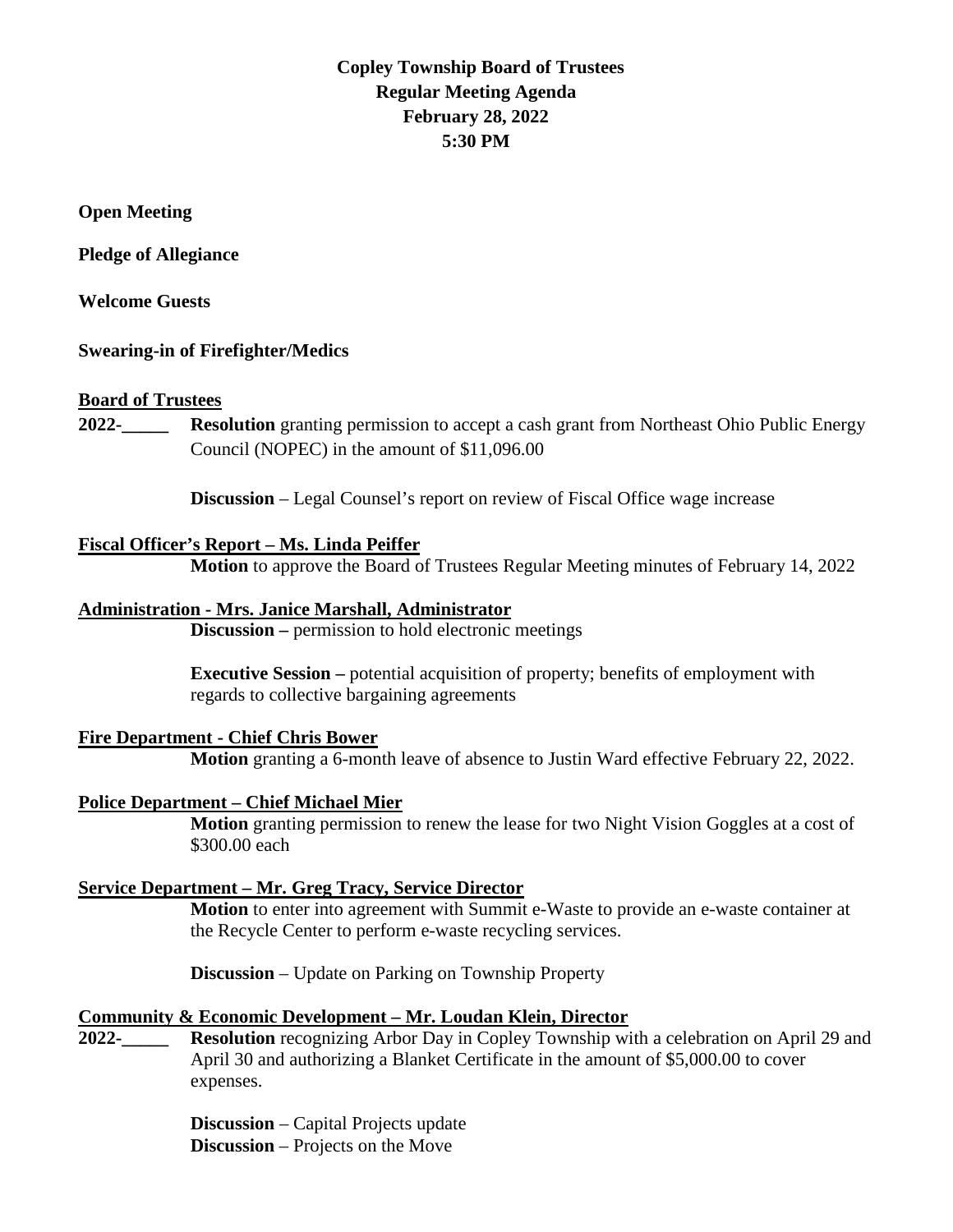# **Copley Township Board of Trustees Regular Meeting Agenda February 28, 2022 5:30 PM**

**Open Meeting**

**Pledge of Allegiance** 

**Welcome Guests**

## **Swearing-in of Firefighter/Medics**

### **Board of Trustees**

**2022-\_\_\_\_\_ Resolution** granting permission to accept a cash grant from Northeast Ohio Public Energy Council (NOPEC) in the amount of \$11,096.00

**Discussion** – Legal Counsel's report on review of Fiscal Office wage increase

## **Fiscal Officer's Report – Ms. Linda Peiffer**

**Motion** to approve the Board of Trustees Regular Meeting minutes of February 14, 2022

### **Administration - Mrs. Janice Marshall, Administrator**

**Discussion –** permission to hold electronic meetings

**Executive Session –** potential acquisition of property; benefits of employment with regards to collective bargaining agreements

## **Fire Department - Chief Chris Bower**

**Motion** granting a 6-month leave of absence to Justin Ward effective February 22, 2022.

### **Police Department – Chief Michael Mier**

**Motion** granting permission to renew the lease for two Night Vision Goggles at a cost of \$300.00 each

### **Service Department – Mr. Greg Tracy, Service Director**

**Motion** to enter into agreement with Summit e-Waste to provide an e-waste container at the Recycle Center to perform e-waste recycling services.

**Discussion** – Update on Parking on Township Property

### **Community & Economic Development – Mr. Loudan Klein, Director**

**2022-\_\_\_\_\_ Resolution** recognizing Arbor Day in Copley Township with a celebration on April 29 and April 30 and authorizing a Blanket Certificate in the amount of \$5,000.00 to cover expenses.

> **Discussion** – Capital Projects update **Discussion** – Projects on the Move